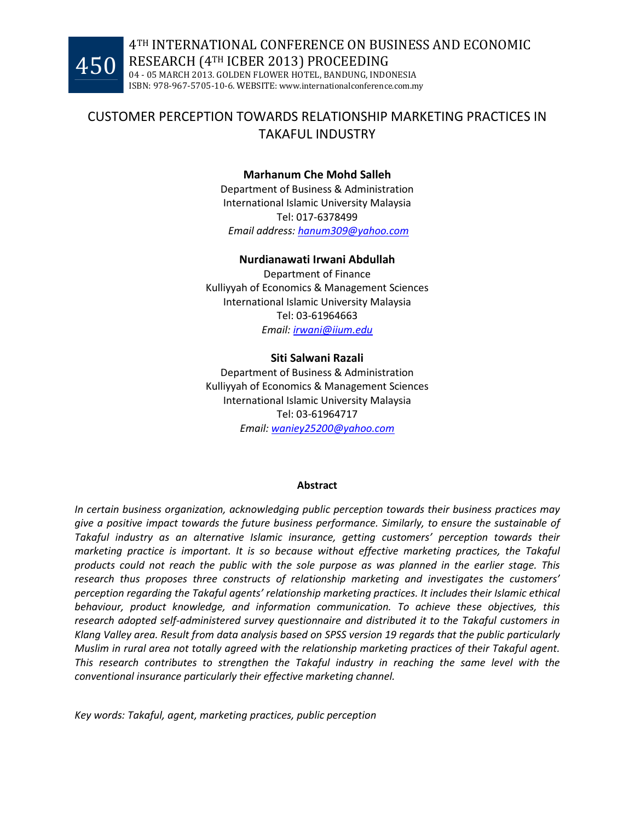# CUSTOMER PERCEPTION TOWARDS RELATIONSHIP MARKETING PRACTICES IN TAKAFUL INDUSTRY

### Marhanum Che Mohd Salleh

Department of Business & Administration International Islamic University Malaysia Tel: 017-6378499 Email address: hanum309@yahoo.com

### Nurdianawati Irwani Abdullah

Department of Finance Kulliyyah of Economics & Management Sciences International Islamic University Malaysia Tel: 03-61964663 Email: irwani@iium.edu

### Siti Salwani Razali

Department of Business & Administration Kulliyyah of Economics & Management Sciences International Islamic University Malaysia Tel: 03-61964717 Email: waniey25200@yahoo.com

#### Abstract

In certain business organization, acknowledging public perception towards their business practices may give a positive impact towards the future business performance. Similarly, to ensure the sustainable of Takaful industry as an alternative Islamic insurance, getting customers' perception towards their marketing practice is important. It is so because without effective marketing practices, the Takaful products could not reach the public with the sole purpose as was planned in the earlier stage. This research thus proposes three constructs of relationship marketing and investigates the customers' perception regarding the Takaful agents' relationship marketing practices. It includes their Islamic ethical behaviour, product knowledge, and information communication. To achieve these objectives, this research adopted self-administered survey questionnaire and distributed it to the Takaful customers in Klang Valley area. Result from data analysis based on SPSS version 19 regards that the public particularly Muslim in rural area not totally agreed with the relationship marketing practices of their Takaful agent. This research contributes to strengthen the Takaful industry in reaching the same level with the conventional insurance particularly their effective marketing channel.

Key words: Takaful, agent, marketing practices, public perception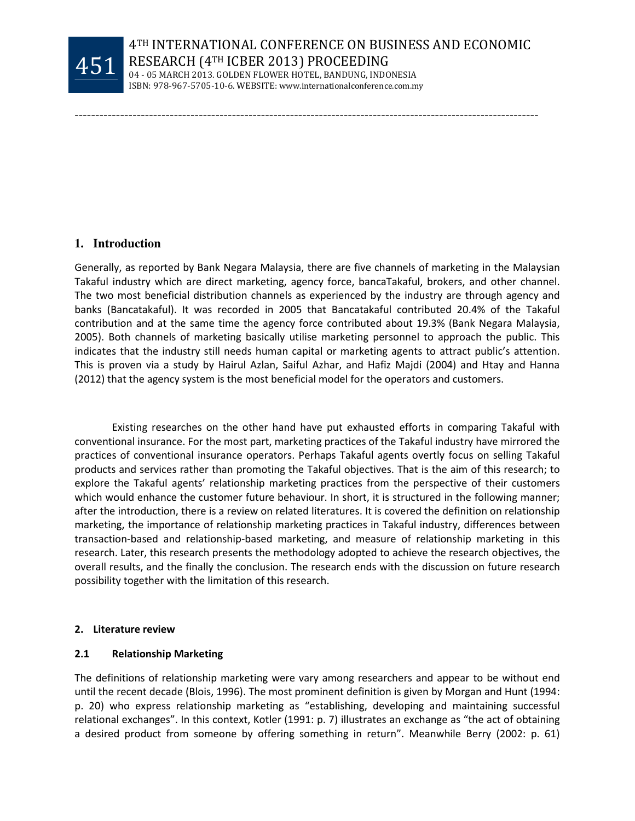

----------------------------------------------------------------------------------------------------------------

### **1. Introduction**

Generally, as reported by Bank Negara Malaysia, there are five channels of marketing in the Malaysian Takaful industry which are direct marketing, agency force, bancaTakaful, brokers, and other channel. The two most beneficial distribution channels as experienced by the industry are through agency and banks (Bancatakaful). It was recorded in 2005 that Bancatakaful contributed 20.4% of the Takaful contribution and at the same time the agency force contributed about 19.3% (Bank Negara Malaysia, 2005). Both channels of marketing basically utilise marketing personnel to approach the public. This indicates that the industry still needs human capital or marketing agents to attract public's attention. This is proven via a study by Hairul Azlan, Saiful Azhar, and Hafiz Majdi (2004) and Htay and Hanna (2012) that the agency system is the most beneficial model for the operators and customers.

 Existing researches on the other hand have put exhausted efforts in comparing Takaful with conventional insurance. For the most part, marketing practices of the Takaful industry have mirrored the practices of conventional insurance operators. Perhaps Takaful agents overtly focus on selling Takaful products and services rather than promoting the Takaful objectives. That is the aim of this research; to explore the Takaful agents' relationship marketing practices from the perspective of their customers which would enhance the customer future behaviour. In short, it is structured in the following manner; after the introduction, there is a review on related literatures. It is covered the definition on relationship marketing, the importance of relationship marketing practices in Takaful industry, differences between transaction-based and relationship-based marketing, and measure of relationship marketing in this research. Later, this research presents the methodology adopted to achieve the research objectives, the overall results, and the finally the conclusion. The research ends with the discussion on future research possibility together with the limitation of this research.

#### 2. Literature review

### 2.1 Relationship Marketing

The definitions of relationship marketing were vary among researchers and appear to be without end until the recent decade (Blois, 1996). The most prominent definition is given by Morgan and Hunt (1994: p. 20) who express relationship marketing as "establishing, developing and maintaining successful relational exchanges". In this context, Kotler (1991: p. 7) illustrates an exchange as "the act of obtaining a desired product from someone by offering something in return". Meanwhile Berry (2002: p. 61)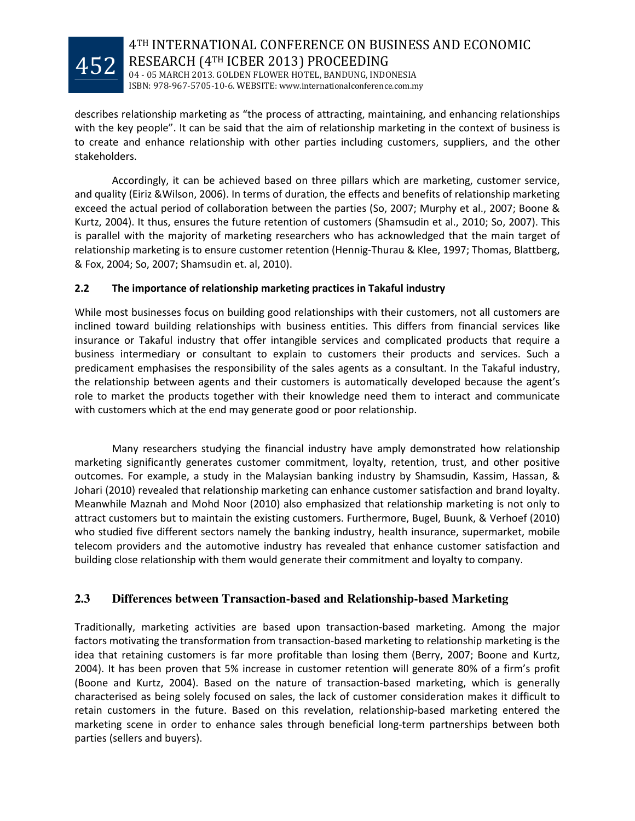

describes relationship marketing as "the process of attracting, maintaining, and enhancing relationships with the key people". It can be said that the aim of relationship marketing in the context of business is to create and enhance relationship with other parties including customers, suppliers, and the other stakeholders.

 Accordingly, it can be achieved based on three pillars which are marketing, customer service, and quality (Eiriz &Wilson, 2006). In terms of duration, the effects and benefits of relationship marketing exceed the actual period of collaboration between the parties (So, 2007; Murphy et al., 2007; Boone & Kurtz, 2004). It thus, ensures the future retention of customers (Shamsudin et al., 2010; So, 2007). This is parallel with the majority of marketing researchers who has acknowledged that the main target of relationship marketing is to ensure customer retention (Hennig-Thurau & Klee, 1997; Thomas, Blattberg, & Fox, 2004; So, 2007; Shamsudin et. al, 2010).

# 2.2 The importance of relationship marketing practices in Takaful industry

While most businesses focus on building good relationships with their customers, not all customers are inclined toward building relationships with business entities. This differs from financial services like insurance or Takaful industry that offer intangible services and complicated products that require a business intermediary or consultant to explain to customers their products and services. Such a predicament emphasises the responsibility of the sales agents as a consultant. In the Takaful industry, the relationship between agents and their customers is automatically developed because the agent's role to market the products together with their knowledge need them to interact and communicate with customers which at the end may generate good or poor relationship.

 Many researchers studying the financial industry have amply demonstrated how relationship marketing significantly generates customer commitment, loyalty, retention, trust, and other positive outcomes. For example, a study in the Malaysian banking industry by Shamsudin, Kassim, Hassan, & Johari (2010) revealed that relationship marketing can enhance customer satisfaction and brand loyalty. Meanwhile Maznah and Mohd Noor (2010) also emphasized that relationship marketing is not only to attract customers but to maintain the existing customers. Furthermore, Bugel, Buunk, & Verhoef (2010) who studied five different sectors namely the banking industry, health insurance, supermarket, mobile telecom providers and the automotive industry has revealed that enhance customer satisfaction and building close relationship with them would generate their commitment and loyalty to company.

# **2.3 Differences between Transaction-based and Relationship-based Marketing**

Traditionally, marketing activities are based upon transaction-based marketing. Among the major factors motivating the transformation from transaction-based marketing to relationship marketing is the idea that retaining customers is far more profitable than losing them (Berry, 2007; Boone and Kurtz, 2004). It has been proven that 5% increase in customer retention will generate 80% of a firm's profit (Boone and Kurtz, 2004). Based on the nature of transaction-based marketing, which is generally characterised as being solely focused on sales, the lack of customer consideration makes it difficult to retain customers in the future. Based on this revelation, relationship-based marketing entered the marketing scene in order to enhance sales through beneficial long-term partnerships between both parties (sellers and buyers).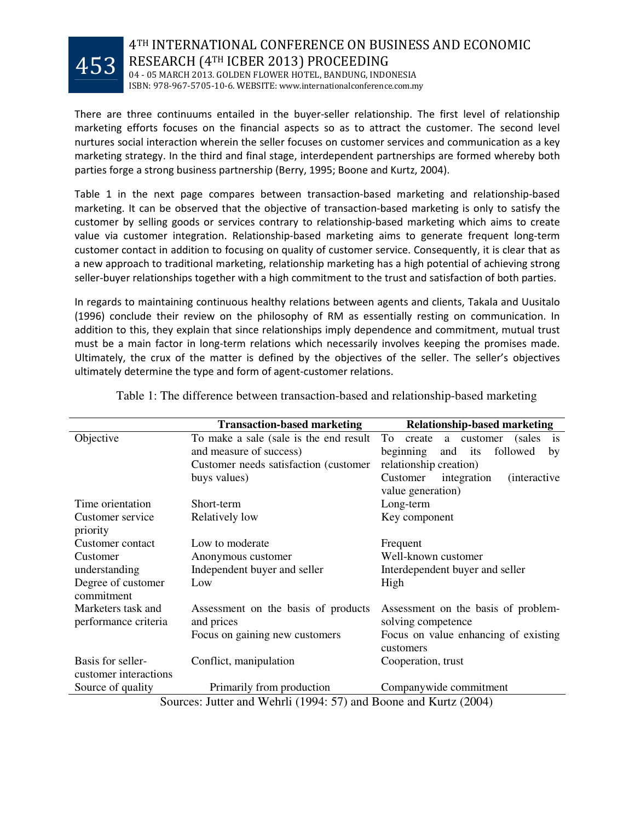

04 - 05 MARCH 2013. GOLDEN FLOWER HOTEL, BANDUNG, INDONESIA ISBN: 978-967-5705-10-6. WEBSITE: www.internationalconference.com.my

There are three continuums entailed in the buyer-seller relationship. The first level of relationship marketing efforts focuses on the financial aspects so as to attract the customer. The second level nurtures social interaction wherein the seller focuses on customer services and communication as a key marketing strategy. In the third and final stage, interdependent partnerships are formed whereby both parties forge a strong business partnership (Berry, 1995; Boone and Kurtz, 2004).

Table 1 in the next page compares between transaction-based marketing and relationship-based marketing. It can be observed that the objective of transaction-based marketing is only to satisfy the customer by selling goods or services contrary to relationship-based marketing which aims to create value via customer integration. Relationship-based marketing aims to generate frequent long-term customer contact in addition to focusing on quality of customer service. Consequently, it is clear that as a new approach to traditional marketing, relationship marketing has a high potential of achieving strong seller-buyer relationships together with a high commitment to the trust and satisfaction of both parties.

In regards to maintaining continuous healthy relations between agents and clients, Takala and Uusitalo (1996) conclude their review on the philosophy of RM as essentially resting on communication. In addition to this, they explain that since relationships imply dependence and commitment, mutual trust must be a main factor in long-term relations which necessarily involves keeping the promises made. Ultimately, the crux of the matter is defined by the objectives of the seller. The seller's objectives ultimately determine the type and form of agent-customer relations.

| <b>Transaction-based marketing</b><br><b>Relationship-based marketing</b> |                                                                  |                                                        |  |  |
|---------------------------------------------------------------------------|------------------------------------------------------------------|--------------------------------------------------------|--|--|
| Objective                                                                 | To make a sale (sale is the end result                           | To<br>create<br>a customer<br>(sales)<br><sup>is</sup> |  |  |
|                                                                           | and measure of success)                                          | beginning<br>and<br>its<br>followed<br>by              |  |  |
|                                                                           | Customer needs satisfaction (customer                            | relationship creation)                                 |  |  |
|                                                                           | buys values)                                                     | integration<br>Customer<br><i>(interactive)</i>        |  |  |
|                                                                           |                                                                  | value generation)                                      |  |  |
| Time orientation                                                          | Short-term                                                       | Long-term                                              |  |  |
| Customer service<br>priority                                              | Relatively low                                                   | Key component                                          |  |  |
| Customer contact                                                          | Low to moderate                                                  | Frequent                                               |  |  |
| Customer                                                                  | Anonymous customer                                               | Well-known customer                                    |  |  |
| understanding                                                             | Independent buyer and seller                                     | Interdependent buyer and seller                        |  |  |
| Degree of customer<br>commitment                                          | Low                                                              | High                                                   |  |  |
| Marketers task and                                                        | Assessment on the basis of products                              | Assessment on the basis of problem-                    |  |  |
| performance criteria                                                      | and prices                                                       | solving competence                                     |  |  |
|                                                                           | Focus on gaining new customers                                   | Focus on value enhancing of existing<br>customers      |  |  |
| Basis for seller-                                                         | Conflict, manipulation                                           | Cooperation, trust                                     |  |  |
| customer interactions                                                     |                                                                  |                                                        |  |  |
| Source of quality                                                         | Primarily from production                                        | Companywide commitment                                 |  |  |
|                                                                           | Sources: Jutter and Wehrli (1994: 57) and Boone and Kurtz (2004) |                                                        |  |  |

Table 1: The difference between transaction-based and relationship-based marketing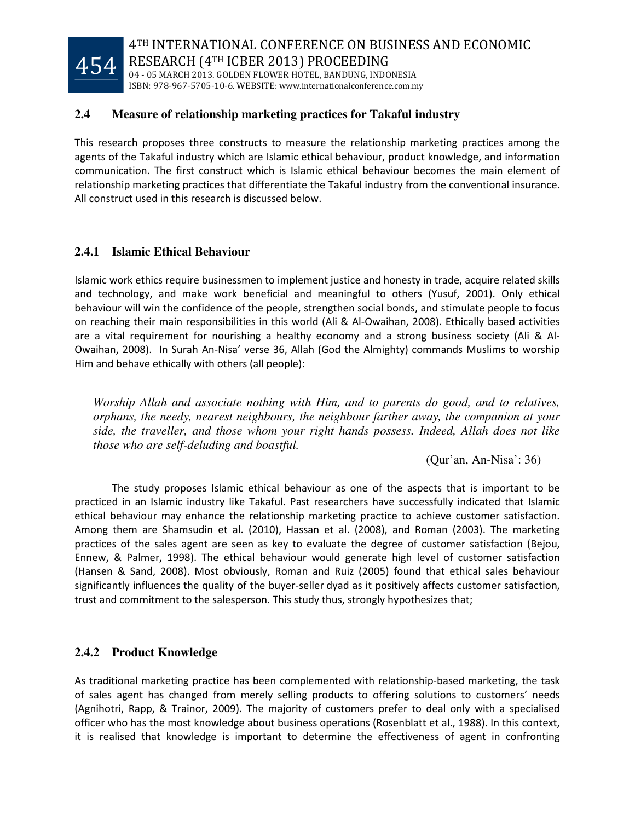

### **2.4 Measure of relationship marketing practices for Takaful industry**

This research proposes three constructs to measure the relationship marketing practices among the agents of the Takaful industry which are Islamic ethical behaviour, product knowledge, and information communication. The first construct which is Islamic ethical behaviour becomes the main element of relationship marketing practices that differentiate the Takaful industry from the conventional insurance. All construct used in this research is discussed below.

# **2.4.1 Islamic Ethical Behaviour**

Islamic work ethics require businessmen to implement justice and honesty in trade, acquire related skills and technology, and make work beneficial and meaningful to others (Yusuf, 2001). Only ethical behaviour will win the confidence of the people, strengthen social bonds, and stimulate people to focus on reaching their main responsibilities in this world (Ali & Al-Owaihan, 2008). Ethically based activities are a vital requirement for nourishing a healthy economy and a strong business society (Ali & Al-Owaihan, 2008). In Surah An-Nisa' verse 36, Allah (God the Almighty) commands Muslims to worship Him and behave ethically with others (all people):

*Worship Allah and associate nothing with Him, and to parents do good, and to relatives, orphans, the needy, nearest neighbours, the neighbour farther away, the companion at your side, the traveller, and those whom your right hands possess. Indeed, Allah does not like those who are self-deluding and boastful.* 

(Qur'an, An-Nisa': 36)

 The study proposes Islamic ethical behaviour as one of the aspects that is important to be practiced in an Islamic industry like Takaful. Past researchers have successfully indicated that Islamic ethical behaviour may enhance the relationship marketing practice to achieve customer satisfaction. Among them are Shamsudin et al. (2010), Hassan et al. (2008), and Roman (2003). The marketing practices of the sales agent are seen as key to evaluate the degree of customer satisfaction (Bejou, Ennew, & Palmer, 1998). The ethical behaviour would generate high level of customer satisfaction (Hansen & Sand, 2008). Most obviously, Roman and Ruiz (2005) found that ethical sales behaviour significantly influences the quality of the buyer-seller dyad as it positively affects customer satisfaction, trust and commitment to the salesperson. This study thus, strongly hypothesizes that;

# **2.4.2 Product Knowledge**

As traditional marketing practice has been complemented with relationship-based marketing, the task of sales agent has changed from merely selling products to offering solutions to customers' needs (Agnihotri, Rapp, & Trainor, 2009). The majority of customers prefer to deal only with a specialised officer who has the most knowledge about business operations (Rosenblatt et al., 1988). In this context, it is realised that knowledge is important to determine the effectiveness of agent in confronting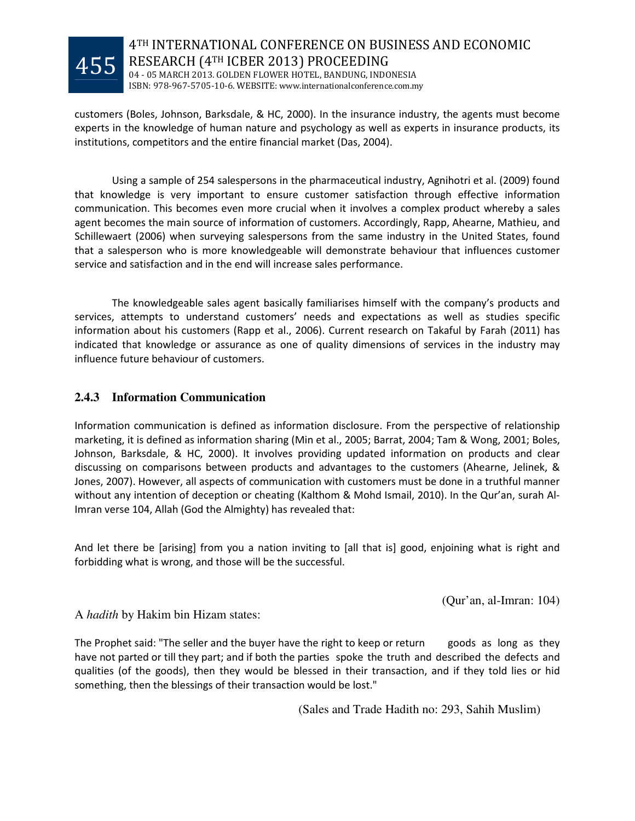

customers (Boles, Johnson, Barksdale, & HC, 2000). In the insurance industry, the agents must become experts in the knowledge of human nature and psychology as well as experts in insurance products, its institutions, competitors and the entire financial market (Das, 2004).

 Using a sample of 254 salespersons in the pharmaceutical industry, Agnihotri et al. (2009) found that knowledge is very important to ensure customer satisfaction through effective information communication. This becomes even more crucial when it involves a complex product whereby a sales agent becomes the main source of information of customers. Accordingly, Rapp, Ahearne, Mathieu, and Schillewaert (2006) when surveying salespersons from the same industry in the United States, found that a salesperson who is more knowledgeable will demonstrate behaviour that influences customer service and satisfaction and in the end will increase sales performance.

 The knowledgeable sales agent basically familiarises himself with the company's products and services, attempts to understand customers' needs and expectations as well as studies specific information about his customers (Rapp et al., 2006). Current research on Takaful by Farah (2011) has indicated that knowledge or assurance as one of quality dimensions of services in the industry may influence future behaviour of customers.

# **2.4.3 Information Communication**

Information communication is defined as information disclosure. From the perspective of relationship marketing, it is defined as information sharing (Min et al., 2005; Barrat, 2004; Tam & Wong, 2001; Boles, Johnson, Barksdale, & HC, 2000). It involves providing updated information on products and clear discussing on comparisons between products and advantages to the customers (Ahearne, Jelinek, & Jones, 2007). However, all aspects of communication with customers must be done in a truthful manner without any intention of deception or cheating (Kalthom & Mohd Ismail, 2010). In the Qur'an, surah Al-Imran verse 104, Allah (God the Almighty) has revealed that:

And let there be [arising] from you a nation inviting to [all that is] good, enjoining what is right and forbidding what is wrong, and those will be the successful.

(Qur'an, al-Imran: 104)

A *hadith* by Hakim bin Hizam states:

The Prophet said: "The seller and the buyer have the right to keep or return goods as long as they have not parted or till they part; and if both the parties spoke the truth and described the defects and qualities (of the goods), then they would be blessed in their transaction, and if they told lies or hid something, then the blessings of their transaction would be lost."

(Sales and Trade Hadith no: 293, Sahih Muslim)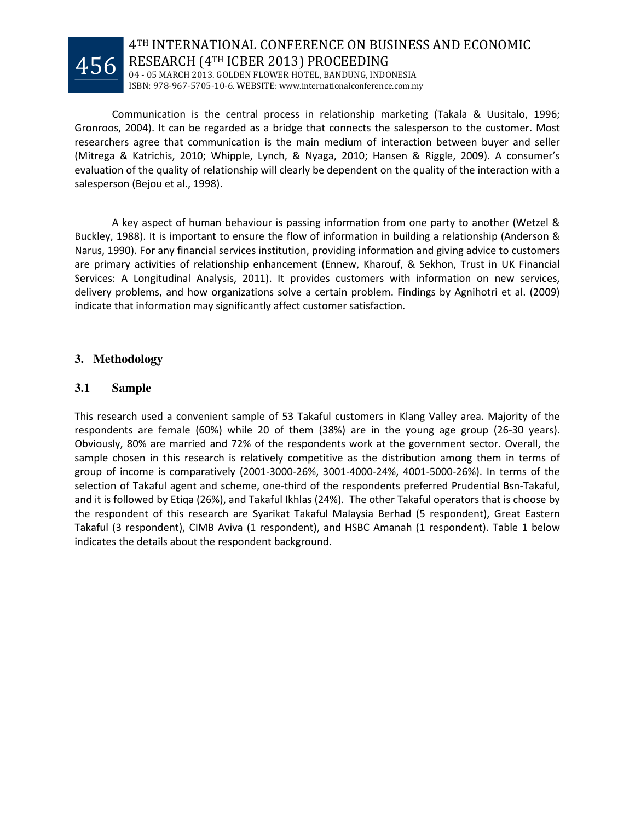

 Communication is the central process in relationship marketing (Takala & Uusitalo, 1996; Gronroos, 2004). It can be regarded as a bridge that connects the salesperson to the customer. Most

researchers agree that communication is the main medium of interaction between buyer and seller (Mitrega & Katrichis, 2010; Whipple, Lynch, & Nyaga, 2010; Hansen & Riggle, 2009). A consumer's evaluation of the quality of relationship will clearly be dependent on the quality of the interaction with a salesperson (Bejou et al., 1998).

 A key aspect of human behaviour is passing information from one party to another (Wetzel & Buckley, 1988). It is important to ensure the flow of information in building a relationship (Anderson & Narus, 1990). For any financial services institution, providing information and giving advice to customers are primary activities of relationship enhancement (Ennew, Kharouf, & Sekhon, Trust in UK Financial Services: A Longitudinal Analysis, 2011). It provides customers with information on new services, delivery problems, and how organizations solve a certain problem. Findings by Agnihotri et al. (2009) indicate that information may significantly affect customer satisfaction.

# **3. Methodology**

### **3.1 Sample**

This research used a convenient sample of 53 Takaful customers in Klang Valley area. Majority of the respondents are female (60%) while 20 of them (38%) are in the young age group (26-30 years). Obviously, 80% are married and 72% of the respondents work at the government sector. Overall, the sample chosen in this research is relatively competitive as the distribution among them in terms of group of income is comparatively (2001-3000-26%, 3001-4000-24%, 4001-5000-26%). In terms of the selection of Takaful agent and scheme, one-third of the respondents preferred Prudential Bsn-Takaful, and it is followed by Etiqa (26%), and Takaful Ikhlas (24%). The other Takaful operators that is choose by the respondent of this research are Syarikat Takaful Malaysia Berhad (5 respondent), Great Eastern Takaful (3 respondent), CIMB Aviva (1 respondent), and HSBC Amanah (1 respondent). Table 1 below indicates the details about the respondent background.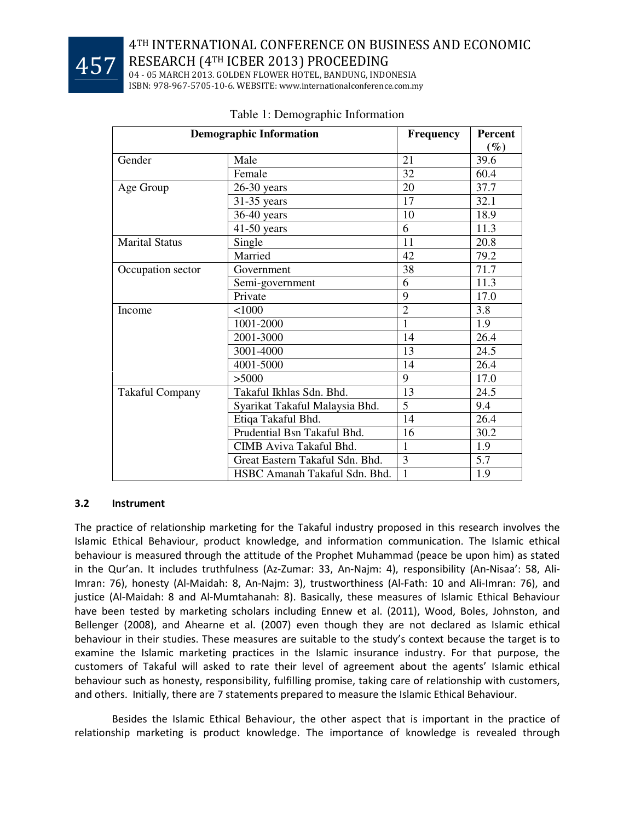

04 - 05 MARCH 2013. GOLDEN FLOWER HOTEL, BANDUNG, INDONESIA ISBN: 978-967-5705-10-6. WEBSITE: www.internationalconference.com.my

| <b>Demographic Information</b> | <b>Frequency</b>                | Percent        |        |
|--------------------------------|---------------------------------|----------------|--------|
|                                |                                 |                | $(\%)$ |
| Gender                         | Male                            | 21             | 39.6   |
|                                | Female                          | 32             | 60.4   |
| Age Group                      | 26-30 years                     | 20             | 37.7   |
|                                | 31-35 years                     | 17             | 32.1   |
|                                | $36-40$ years                   | 10             | 18.9   |
|                                | $41-50$ years                   | 6              | 11.3   |
| <b>Marital Status</b>          | Single                          | 11             | 20.8   |
|                                | Married                         | 42             | 79.2   |
| Occupation sector              | Government                      | 38             | 71.7   |
|                                | Semi-government                 | 6              | 11.3   |
|                                | Private                         | 9              | 17.0   |
| Income                         | 1000                            | $\overline{2}$ | 3.8    |
|                                | 1001-2000                       | 1              | 1.9    |
|                                | 2001-3000                       | 14             | 26.4   |
|                                | 3001-4000                       | 13             | 24.5   |
|                                | 4001-5000                       | 14             | 26.4   |
|                                | >5000                           | 9              | 17.0   |
| <b>Takaful Company</b>         | Takaful Ikhlas Sdn. Bhd.        | 13             | 24.5   |
|                                | Syarikat Takaful Malaysia Bhd.  | 5              | 9.4    |
|                                | Etiqa Takaful Bhd.              | 14             | 26.4   |
|                                | Prudential Bsn Takaful Bhd.     | 16             | 30.2   |
|                                | CIMB Aviva Takaful Bhd.         | $\mathbf{1}$   | 1.9    |
|                                | Great Eastern Takaful Sdn. Bhd. | 3              | 5.7    |
|                                | HSBC Amanah Takaful Sdn. Bhd.   | 1              | 1.9    |

# Table 1: Demographic Information

# 3.2 Instrument

The practice of relationship marketing for the Takaful industry proposed in this research involves the Islamic Ethical Behaviour, product knowledge, and information communication. The Islamic ethical behaviour is measured through the attitude of the Prophet Muhammad (peace be upon him) as stated in the Qur'an. It includes truthfulness (Az-Zumar: 33, An-Najm: 4), responsibility (An-Nisaa': 58, Ali-Imran: 76), honesty (Al-Maidah: 8, An-Najm: 3), trustworthiness (Al-Fath: 10 and Ali-Imran: 76), and justice (Al-Maidah: 8 and Al-Mumtahanah: 8). Basically, these measures of Islamic Ethical Behaviour have been tested by marketing scholars including Ennew et al. (2011), Wood, Boles, Johnston, and Bellenger (2008), and Ahearne et al. (2007) even though they are not declared as Islamic ethical behaviour in their studies. These measures are suitable to the study's context because the target is to examine the Islamic marketing practices in the Islamic insurance industry. For that purpose, the customers of Takaful will asked to rate their level of agreement about the agents' Islamic ethical behaviour such as honesty, responsibility, fulfilling promise, taking care of relationship with customers, and others. Initially, there are 7 statements prepared to measure the Islamic Ethical Behaviour.

 Besides the Islamic Ethical Behaviour, the other aspect that is important in the practice of relationship marketing is product knowledge. The importance of knowledge is revealed through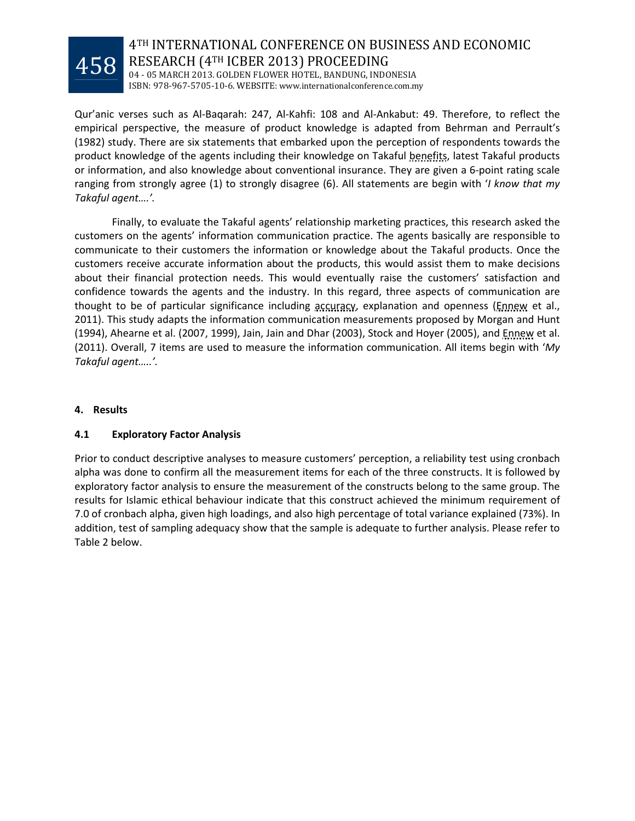

# 4TH INTERNATIONAL CONFERENCE ON BUSINESS AND ECONOMIC RESEARCH (4TH ICBER 2013) PROCEEDING 04 - 05 MARCH 2013. GOLDEN FLOWER HOTEL, BANDUNG, INDONESIA

ISBN: 978-967-5705-10-6. WEBSITE: www.internationalconference.com.my

Qur'anic verses such as Al-Baqarah: 247, Al-Kahfi: 108 and Al-Ankabut: 49. Therefore, to reflect the empirical perspective, the measure of product knowledge is adapted from Behrman and Perrault's (1982) study. There are six statements that embarked upon the perception of respondents towards the product knowledge of the agents including their knowledge on Takaful benefits, latest Takaful products or information, and also knowledge about conventional insurance. They are given a 6-point rating scale ranging from strongly agree (1) to strongly disagree (6). All statements are begin with '*I know that my* Takaful agent….'.

 Finally, to evaluate the Takaful agents' relationship marketing practices, this research asked the customers on the agents' information communication practice. The agents basically are responsible to communicate to their customers the information or knowledge about the Takaful products. Once the customers receive accurate information about the products, this would assist them to make decisions about their financial protection needs. This would eventually raise the customers' satisfaction and confidence towards the agents and the industry. In this regard, three aspects of communication are thought to be of particular significance including accuracy, explanation and openness (Ennew et al., 2011). This study adapts the information communication measurements proposed by Morgan and Hunt (1994), Ahearne et al. (2007, 1999), Jain, Jain and Dhar (2003), Stock and Hoyer (2005), and Ennew et al. (2011). Overall, 7 items are used to measure the information communication. All items begin with 'My Takaful agent…..'.

### 4. Results

# 4.1 Exploratory Factor Analysis

Prior to conduct descriptive analyses to measure customers' perception, a reliability test using cronbach alpha was done to confirm all the measurement items for each of the three constructs. It is followed by exploratory factor analysis to ensure the measurement of the constructs belong to the same group. The results for Islamic ethical behaviour indicate that this construct achieved the minimum requirement of 7.0 of cronbach alpha, given high loadings, and also high percentage of total variance explained (73%). In addition, test of sampling adequacy show that the sample is adequate to further analysis. Please refer to Table 2 below.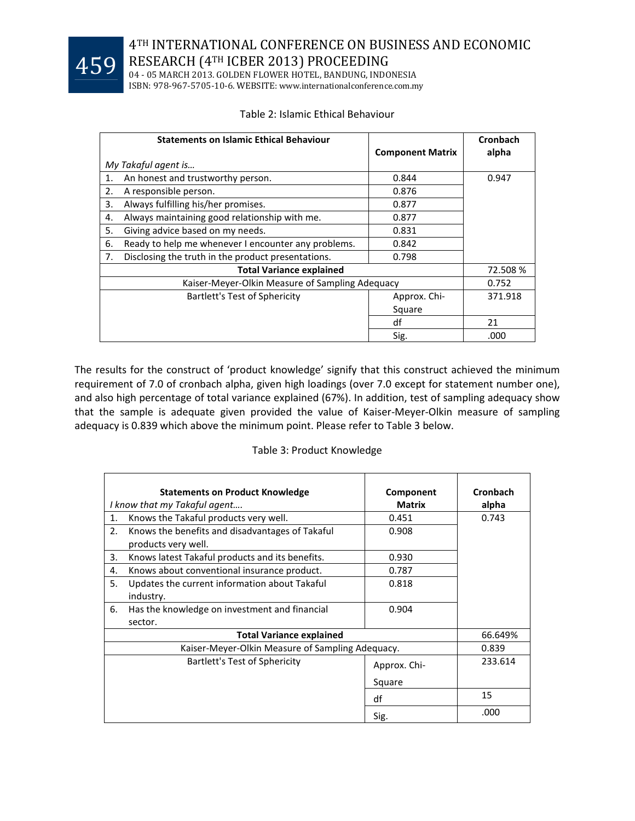

04 - 05 MARCH 2013. GOLDEN FLOWER HOTEL, BANDUNG, INDONESIA ISBN: 978-967-5705-10-6. WEBSITE: www.internationalconference.com.my

### Table 2: Islamic Ethical Behaviour

|                                 | <b>Statements on Islamic Ethical Behaviour</b>      | <b>Component Matrix</b> | <b>Cronbach</b><br>alpha |
|---------------------------------|-----------------------------------------------------|-------------------------|--------------------------|
|                                 | My Takaful agent is                                 |                         |                          |
| $\mathbf{1}$ .                  | An honest and trustworthy person.                   | 0.844                   | 0.947                    |
| 2.                              | A responsible person.                               | 0.876                   |                          |
| 3.                              | Always fulfilling his/her promises.                 | 0.877                   |                          |
| 4.                              | Always maintaining good relationship with me.       | 0.877                   |                          |
| 5.                              | Giving advice based on my needs.                    | 0.831                   |                          |
| 6.                              | Ready to help me whenever I encounter any problems. | 0.842                   |                          |
| 7.                              | Disclosing the truth in the product presentations.  | 0.798                   |                          |
| <b>Total Variance explained</b> |                                                     | 72.508 %                |                          |
|                                 | Kaiser-Meyer-Olkin Measure of Sampling Adequacy     |                         | 0.752                    |
|                                 | Bartlett's Test of Sphericity                       | Approx. Chi-            | 371.918                  |
|                                 |                                                     | Square                  |                          |
|                                 |                                                     | df                      | 21                       |
|                                 |                                                     | Sig.                    | .000                     |

The results for the construct of 'product knowledge' signify that this construct achieved the minimum requirement of 7.0 of cronbach alpha, given high loadings (over 7.0 except for statement number one), and also high percentage of total variance explained (67%). In addition, test of sampling adequacy show that the sample is adequate given provided the value of Kaiser-Meyer-Olkin measure of sampling adequacy is 0.839 which above the minimum point. Please refer to Table 3 below.

### Table 3: Product Knowledge

|                                 | <b>Statements on Product Knowledge</b><br>I know that my Takaful agent | Component<br><b>Matrix</b> | <b>Cronbach</b><br>alpha |
|---------------------------------|------------------------------------------------------------------------|----------------------------|--------------------------|
| 1.                              | Knows the Takaful products very well.                                  | 0.451                      | 0.743                    |
| 2.                              | Knows the benefits and disadvantages of Takaful<br>products very well. | 0.908                      |                          |
| 3.                              | Knows latest Takaful products and its benefits.                        | 0.930                      |                          |
| 4.                              | Knows about conventional insurance product.                            | 0.787                      |                          |
| 5.                              | Updates the current information about Takaful<br>industry.             | 0.818                      |                          |
| 6.                              | Has the knowledge on investment and financial<br>sector.               | 0.904                      |                          |
| <b>Total Variance explained</b> |                                                                        | 66.649%                    |                          |
|                                 | Kaiser-Meyer-Olkin Measure of Sampling Adequacy.                       |                            | 0.839                    |
|                                 | <b>Bartlett's Test of Sphericity</b>                                   | Approx. Chi-               | 233.614                  |
|                                 |                                                                        | Square                     |                          |
|                                 |                                                                        | df                         | 15                       |
|                                 |                                                                        | Sig.                       | .000                     |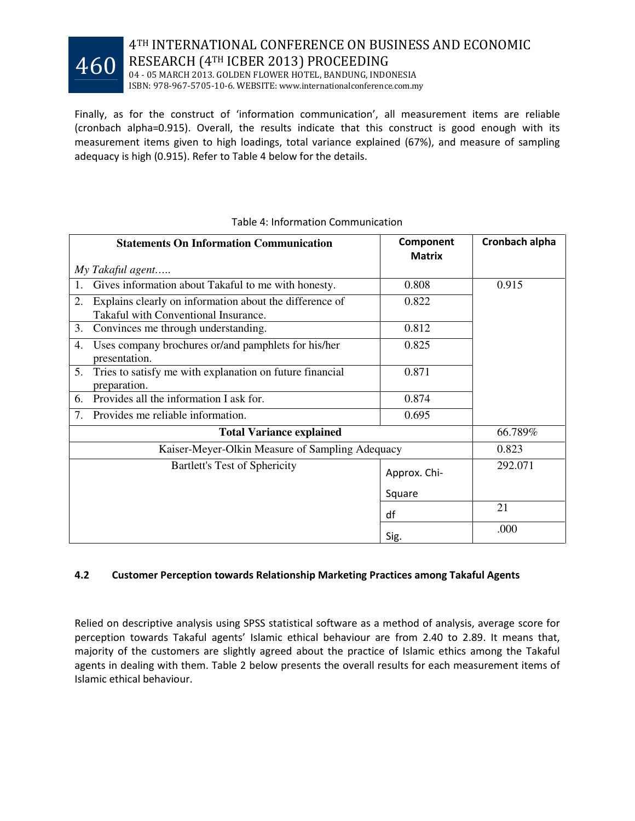

04 - 05 MARCH 2013. GOLDEN FLOWER HOTEL, BANDUNG, INDONESIA ISBN: 978-967-5705-10-6. WEBSITE: www.internationalconference.com.my

Finally, as for the construct of 'information communication', all measurement items are reliable (cronbach alpha=0.915). Overall, the results indicate that this construct is good enough with its measurement items given to high loadings, total variance explained (67%), and measure of sampling adequacy is high (0.915). Refer to Table 4 below for the details.

|    | <b>Statements On Information Communication</b>                                                  | Component<br><b>Matrix</b> | Cronbach alpha |
|----|-------------------------------------------------------------------------------------------------|----------------------------|----------------|
|    | My Takaful agent                                                                                |                            |                |
| 1. | Gives information about Takaful to me with honesty.                                             | 0.808                      | 0.915          |
| 2. | Explains clearly on information about the difference of<br>Takaful with Conventional Insurance. | 0.822                      |                |
| 3. | Convinces me through understanding.                                                             | 0.812                      |                |
| 4. | Uses company brochures or/and pamphlets for his/her<br>presentation.                            | 0.825                      |                |
| 5. | Tries to satisfy me with explanation on future financial<br>preparation.                        | 0.871                      |                |
| 6. | Provides all the information I ask for.                                                         | 0.874                      |                |
| 7. | Provides me reliable information.                                                               | 0.695                      |                |
|    | <b>Total Variance explained</b>                                                                 |                            | 66.789%        |
|    | Kaiser-Meyer-Olkin Measure of Sampling Adequacy                                                 |                            | 0.823          |
|    | Bartlett's Test of Sphericity                                                                   | Approx. Chi-               | 292.071        |
|    |                                                                                                 | Square                     |                |
|    |                                                                                                 | df                         | 21             |
|    |                                                                                                 | Sig.                       | .000           |

### Table 4: Information Communication

### 4.2 Customer Perception towards Relationship Marketing Practices among Takaful Agents

Relied on descriptive analysis using SPSS statistical software as a method of analysis, average score for perception towards Takaful agents' Islamic ethical behaviour are from 2.40 to 2.89. It means that, majority of the customers are slightly agreed about the practice of Islamic ethics among the Takaful agents in dealing with them. Table 2 below presents the overall results for each measurement items of Islamic ethical behaviour.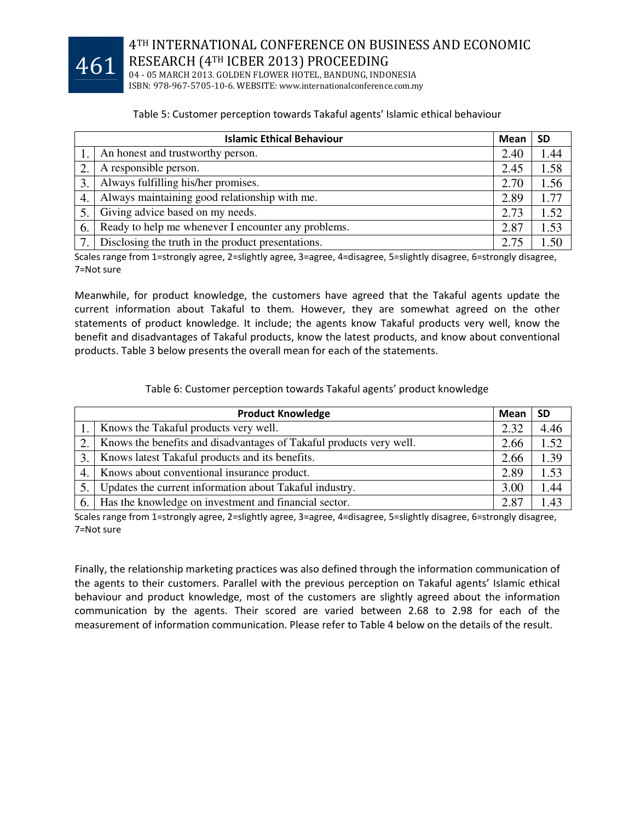

04 - 05 MARCH 2013. GOLDEN FLOWER HOTEL, BANDUNG, INDONESIA ISBN: 978-967-5705-10-6. WEBSITE: www.internationalconference.com.my

### Table 5: Customer perception towards Takaful agents' Islamic ethical behaviour

|    | <b>Islamic Ethical Behaviour</b>                    |      | <b>SD</b> |
|----|-----------------------------------------------------|------|-----------|
|    | An honest and trustworthy person.                   | 2.40 | 1.44      |
|    | A responsible person.                               | 2.45 | 1.58      |
| 3. | Always fulfilling his/her promises.                 | 2.70 | 1.56      |
| 4. | Always maintaining good relationship with me.       | 2.89 | 1.77      |
| 5. | Giving advice based on my needs.                    | 2.73 | 1.52      |
| 6. | Ready to help me whenever I encounter any problems. | 2.87 | 1.53      |
| 7. | Disclosing the truth in the product presentations.  | 2.75 | 1.50      |

Scales range from 1=strongly agree, 2=slightly agree, 3=agree, 4=disagree, 5=slightly disagree, 6=strongly disagree, 7=Not sure

Meanwhile, for product knowledge, the customers have agreed that the Takaful agents update the current information about Takaful to them. However, they are somewhat agreed on the other statements of product knowledge. It include; the agents know Takaful products very well, know the benefit and disadvantages of Takaful products, know the latest products, and know about conventional products. Table 3 below presents the overall mean for each of the statements.

### Table 6: Customer perception towards Takaful agents' product knowledge

| <b>Product Knowledge</b> |                                                                     | Mean | <b>SD</b> |
|--------------------------|---------------------------------------------------------------------|------|-----------|
|                          | Knows the Takaful products very well.                               | 2.32 | 4.46      |
|                          | Knows the benefits and disadvantages of Takaful products very well. | 2.66 | 1.52      |
|                          | Knows latest Takaful products and its benefits.                     | 2.66 | 1.39      |
| 4.                       | Knows about conventional insurance product.                         | 2.89 | 1.53      |
|                          | Updates the current information about Takaful industry.             | 3.00 | .44       |
| 6.                       | Has the knowledge on investment and financial sector.               | 2.87 | .43       |

Scales range from 1=strongly agree, 2=slightly agree, 3=agree, 4=disagree, 5=slightly disagree, 6=strongly disagree, 7=Not sure

Finally, the relationship marketing practices was also defined through the information communication of the agents to their customers. Parallel with the previous perception on Takaful agents' Islamic ethical behaviour and product knowledge, most of the customers are slightly agreed about the information communication by the agents. Their scored are varied between 2.68 to 2.98 for each of the measurement of information communication. Please refer to Table 4 below on the details of the result.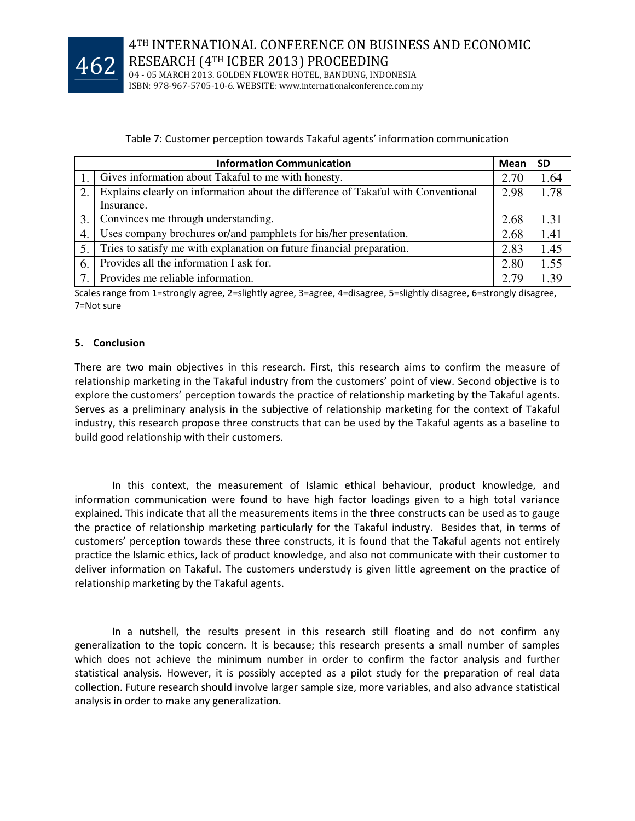

04 - 05 MARCH 2013. GOLDEN FLOWER HOTEL, BANDUNG, INDONESIA ISBN: 978-967-5705-10-6. WEBSITE: www.internationalconference.com.my

### Table 7: Customer perception towards Takaful agents' information communication

| <b>Information Communication</b> |                                                                                   | Mean | <b>SD</b> |
|----------------------------------|-----------------------------------------------------------------------------------|------|-----------|
|                                  | 1. Gives information about Takaful to me with honesty.                            | 2.70 | 1.64      |
| 2.                               | Explains clearly on information about the difference of Takaful with Conventional | 2.98 | 1.78      |
|                                  | Insurance.                                                                        |      |           |
| 3.                               | Convinces me through understanding.                                               | 2.68 | 1.31      |
| 4.                               | Uses company brochures or/and pamphlets for his/her presentation.                 | 2.68 | 1.41      |
| 5.                               | Tries to satisfy me with explanation on future financial preparation.             | 2.83 | 1.45      |
| 6.                               | Provides all the information I ask for.                                           | 2.80 | 1.55      |
| 7                                | Provides me reliable information.                                                 | 2.79 | 1.39      |

Scales range from 1=strongly agree, 2=slightly agree, 3=agree, 4=disagree, 5=slightly disagree, 6=strongly disagree, 7=Not sure

### 5. Conclusion

There are two main objectives in this research. First, this research aims to confirm the measure of relationship marketing in the Takaful industry from the customers' point of view. Second objective is to explore the customers' perception towards the practice of relationship marketing by the Takaful agents. Serves as a preliminary analysis in the subjective of relationship marketing for the context of Takaful industry, this research propose three constructs that can be used by the Takaful agents as a baseline to build good relationship with their customers.

 In this context, the measurement of Islamic ethical behaviour, product knowledge, and information communication were found to have high factor loadings given to a high total variance explained. This indicate that all the measurements items in the three constructs can be used as to gauge the practice of relationship marketing particularly for the Takaful industry. Besides that, in terms of customers' perception towards these three constructs, it is found that the Takaful agents not entirely practice the Islamic ethics, lack of product knowledge, and also not communicate with their customer to deliver information on Takaful. The customers understudy is given little agreement on the practice of relationship marketing by the Takaful agents.

 In a nutshell, the results present in this research still floating and do not confirm any generalization to the topic concern. It is because; this research presents a small number of samples which does not achieve the minimum number in order to confirm the factor analysis and further statistical analysis. However, it is possibly accepted as a pilot study for the preparation of real data collection. Future research should involve larger sample size, more variables, and also advance statistical analysis in order to make any generalization.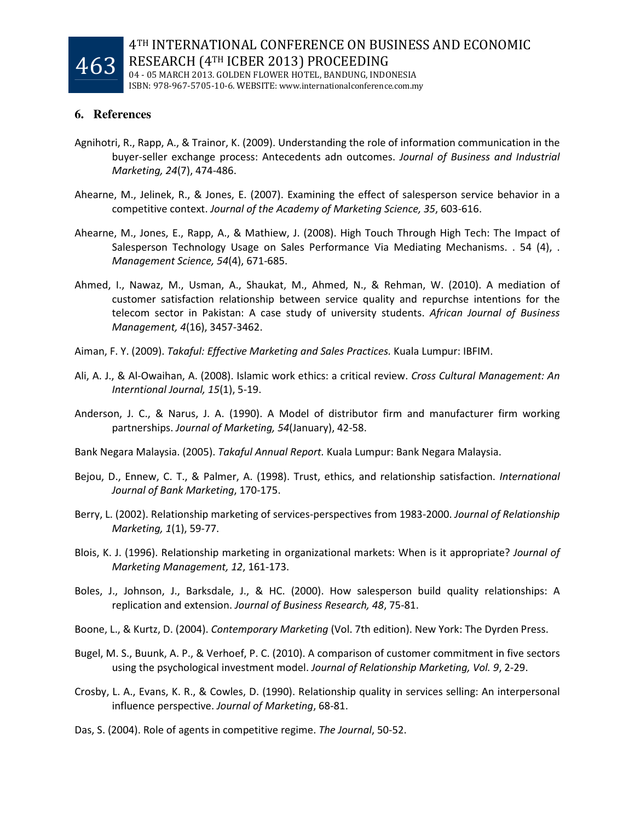

4TH INTERNATIONAL CONFERENCE ON BUSINESS AND ECONOMIC RESEARCH (4TH ICBER 2013) PROCEEDING 04 - 05 MARCH 2013. GOLDEN FLOWER HOTEL, BANDUNG, INDONESIA

ISBN: 978-967-5705-10-6. WEBSITE: www.internationalconference.com.my

# **6. References**

- Agnihotri, R., Rapp, A., & Trainor, K. (2009). Understanding the role of information communication in the buyer-seller exchange process: Antecedents adn outcomes. Journal of Business and Industrial Marketing, 24(7), 474-486.
- Ahearne, M., Jelinek, R., & Jones, E. (2007). Examining the effect of salesperson service behavior in a competitive context. Journal of the Academy of Marketing Science, 35, 603-616.
- Ahearne, M., Jones, E., Rapp, A., & Mathiew, J. (2008). High Touch Through High Tech: The Impact of Salesperson Technology Usage on Sales Performance Via Mediating Mechanisms. . 54 (4), . Management Science, 54(4), 671-685.
- Ahmed, I., Nawaz, M., Usman, A., Shaukat, M., Ahmed, N., & Rehman, W. (2010). A mediation of customer satisfaction relationship between service quality and repurchse intentions for the telecom sector in Pakistan: A case study of university students. African Journal of Business Management, 4(16), 3457-3462.
- Aiman, F. Y. (2009). Takaful: Effective Marketing and Sales Practices. Kuala Lumpur: IBFIM.
- Ali, A. J., & Al-Owaihan, A. (2008). Islamic work ethics: a critical review. Cross Cultural Management: An Interntional Journal, 15(1), 5-19.
- Anderson, J. C., & Narus, J. A. (1990). A Model of distributor firm and manufacturer firm working partnerships. Journal of Marketing, 54(January), 42-58.
- Bank Negara Malaysia. (2005). Takaful Annual Report. Kuala Lumpur: Bank Negara Malaysia.
- Bejou, D., Ennew, C. T., & Palmer, A. (1998). Trust, ethics, and relationship satisfaction. International Journal of Bank Marketing, 170-175.
- Berry, L. (2002). Relationship marketing of services-perspectives from 1983-2000. Journal of Relationship Marketing, 1(1), 59-77.
- Blois, K. J. (1996). Relationship marketing in organizational markets: When is it appropriate? Journal of Marketing Management, 12, 161-173.
- Boles, J., Johnson, J., Barksdale, J., & HC. (2000). How salesperson build quality relationships: A replication and extension. Journal of Business Research, 48, 75-81.
- Boone, L., & Kurtz, D. (2004). Contemporary Marketing (Vol. 7th edition). New York: The Dyrden Press.
- Bugel, M. S., Buunk, A. P., & Verhoef, P. C. (2010). A comparison of customer commitment in five sectors using the psychological investment model. Journal of Relationship Marketing, Vol. 9, 2-29.
- Crosby, L. A., Evans, K. R., & Cowles, D. (1990). Relationship quality in services selling: An interpersonal influence perspective. Journal of Marketing, 68-81.
- Das, S. (2004). Role of agents in competitive regime. The Journal, 50-52.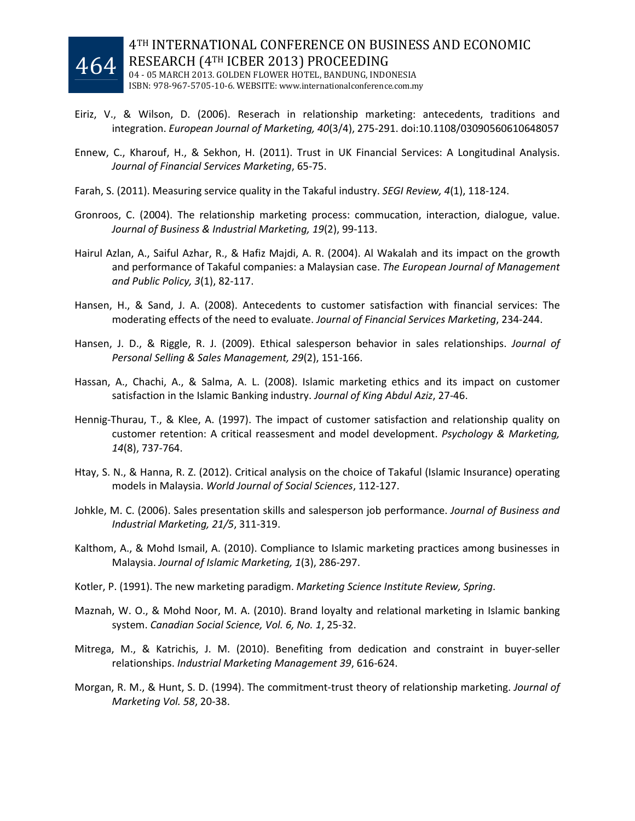

- Eiriz, V., & Wilson, D. (2006). Reserach in relationship marketing: antecedents, traditions and integration. European Journal of Marketing, 40(3/4), 275-291. doi:10.1108/03090560610648057
- Ennew, C., Kharouf, H., & Sekhon, H. (2011). Trust in UK Financial Services: A Longitudinal Analysis. Journal of Financial Services Marketing, 65-75.
- Farah, S. (2011). Measuring service quality in the Takaful industry. SEGI Review, 4(1), 118-124.
- Gronroos, C. (2004). The relationship marketing process: commucation, interaction, dialogue, value. Journal of Business & Industrial Marketing, 19(2), 99-113.
- Hairul Azlan, A., Saiful Azhar, R., & Hafiz Majdi, A. R. (2004). Al Wakalah and its impact on the growth and performance of Takaful companies: a Malaysian case. The European Journal of Management and Public Policy, 3(1), 82-117.
- Hansen, H., & Sand, J. A. (2008). Antecedents to customer satisfaction with financial services: The moderating effects of the need to evaluate. Journal of Financial Services Marketing, 234-244.
- Hansen, J. D., & Riggle, R. J. (2009). Ethical salesperson behavior in sales relationships. Journal of Personal Selling & Sales Management, 29(2), 151-166.
- Hassan, A., Chachi, A., & Salma, A. L. (2008). Islamic marketing ethics and its impact on customer satisfaction in the Islamic Banking industry. Journal of King Abdul Aziz, 27-46.
- Hennig-Thurau, T., & Klee, A. (1997). The impact of customer satisfaction and relationship quality on customer retention: A critical reassesment and model development. Psychology & Marketing, 14(8), 737-764.
- Htay, S. N., & Hanna, R. Z. (2012). Critical analysis on the choice of Takaful (Islamic Insurance) operating models in Malaysia. World Journal of Social Sciences, 112-127.
- Johkle, M. C. (2006). Sales presentation skills and salesperson job performance. Journal of Business and Industrial Marketing, 21/5, 311-319.
- Kalthom, A., & Mohd Ismail, A. (2010). Compliance to Islamic marketing practices among businesses in Malaysia. Journal of Islamic Marketing, 1(3), 286-297.
- Kotler, P. (1991). The new marketing paradigm. Marketing Science Institute Review, Spring.
- Maznah, W. O., & Mohd Noor, M. A. (2010). Brand loyalty and relational marketing in Islamic banking system. Canadian Social Science, Vol. 6, No. 1, 25-32.
- Mitrega, M., & Katrichis, J. M. (2010). Benefiting from dedication and constraint in buyer-seller relationships. Industrial Marketing Management 39, 616-624.
- Morgan, R. M., & Hunt, S. D. (1994). The commitment-trust theory of relationship marketing. Journal of Marketing Vol. 58, 20-38.